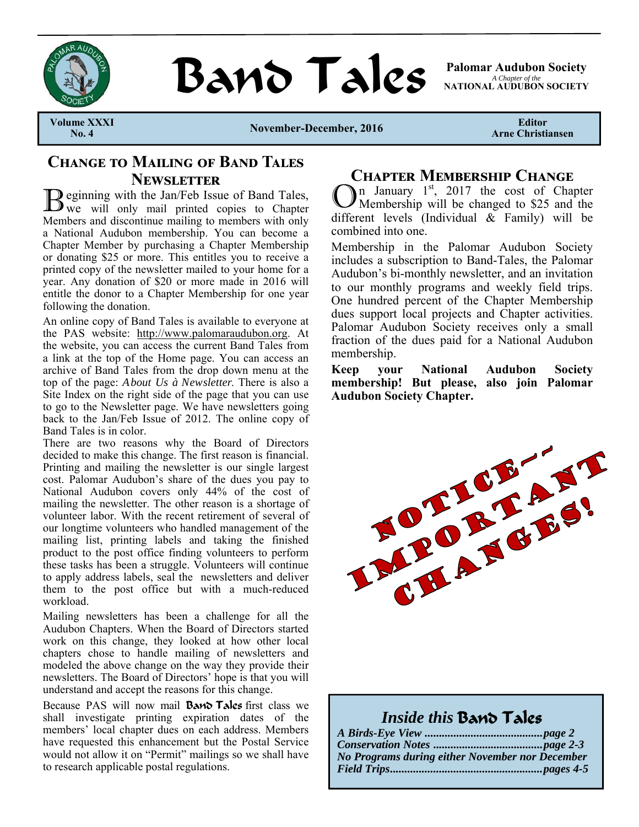

**BAND TAILS** Palomar Audubon Society

*A Chapter of the*  **NATIONAL AUDUBON SOCIETY** 

**Volume XXXI** 

November-December, 2016

**Editor Arne Christiansen** 

### **CHANGE TO MAILING OF BAND TALES NEWSLETTER**

Deginning with the Jan/Feb Issue of Band Tales,  $\mathbf{U}$  we will only mail printed copies to Chapter Members and discontinue mailing to members with only a National Audubon membership. You can become a Chapter Member by purchasing a Chapter Membership or donating \$25 or more. This entitles you to receive a printed copy of the newsletter mailed to your home for a year. Any donation of \$20 or more made in 2016 will entitle the donor to a Chapter Membership for one year following the donation.

An online copy of Band Tales is available to everyone at the PAS website: http://www.palomaraudubon.org. At the website, you can access the current Band Tales from a link at the top of the Home page. You can access an archive of Band Tales from the drop down menu at the top of the page: *About Us à Newsletter*. There is also a Site Index on the right side of the page that you can use to go to the Newsletter page. We have newsletters going back to the Jan/Feb Issue of 2012. The online copy of Band Tales is in color.

There are two reasons why the Board of Directors decided to make this change. The first reason is financial. Printing and mailing the newsletter is our single largest cost. Palomar Audubon's share of the dues you pay to National Audubon covers only 44% of the cost of mailing the newsletter. The other reason is a shortage of volunteer labor. With the recent retirement of several of our longtime volunteers who handled management of the mailing list, printing labels and taking the finished product to the post office finding volunteers to perform these tasks has been a struggle. Volunteers will continue to apply address labels, seal the newsletters and deliver them to the post office but with a much-reduced workload.

Mailing newsletters has been a challenge for all the Audubon Chapters. When the Board of Directors started work on this change, they looked at how other local chapters chose to handle mailing of newsletters and modeled the above change on the way they provide their newsletters. The Board of Directors' hope is that you will understand and accept the reasons for this change.

Because PAS will now mail **Band Tales** first class we shall investigate printing expiration dates of the members' local chapter dues on each address. Members have requested this enhancement but the Postal Service would not allow it on "Permit" mailings so we shall have to research applicable postal regulations.

### **CHAPTER MEMBERSHIP CHANGE**

 $\sum_{n=1}^{\infty}$  January  $1^{st}$ , 2017 the cost of Chapter Membership will be changed to \$25 and the different levels (Individual & Family) will be combined into one.

Membership in the Palomar Audubon Society includes a subscription to Band-Tales, the Palomar Audubon's bi-monthly newsletter, and an invitation to our monthly programs and weekly field trips. One hundred percent of the Chapter Membership dues support local projects and Chapter activities. Palomar Audubon Society receives only a small fraction of the dues paid for a National Audubon membership.

**Keep your National Audubon Society membership! But please, also join Palomar Audubon Society Chapter.**



### *Inside this* Band Tales

| No Programs during either November nor December |  |
|-------------------------------------------------|--|
|                                                 |  |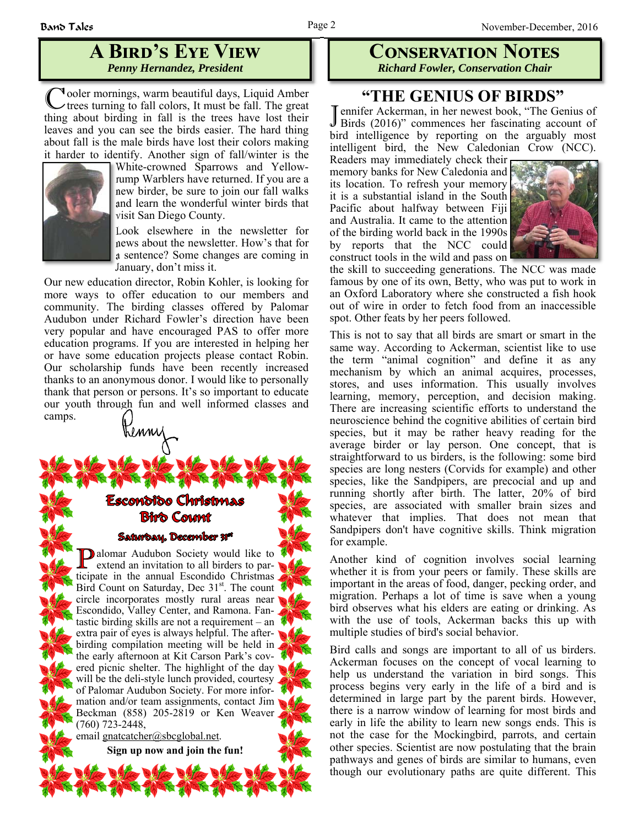## **A BIRD'S EYE VIEW** *Penny Hernandez, President*

C ooler mornings, warm beautiful days, Liquid Amber trees turning to fall colors, It must be fall. The great thing about birding in fall is the trees have lost their leaves and you can see the birds easier. The hard thing about fall is the male birds have lost their colors making it harder to identify. Another sign of fall/winter is the



White-crowned Sparrows and Yellowrump Warblers have returned. If you are a new birder, be sure to join our fall walks and learn the wonderful winter birds that visit San Diego County.

Look elsewhere in the newsletter for news about the newsletter. How's that for a sentence? Some changes are coming in January, don't miss it.

Our new education director, Robin Kohler, is looking for more ways to offer education to our members and community. The birding classes offered by Palomar Audubon under Richard Fowler's direction have been very popular and have encouraged PAS to offer more education programs. If you are interested in helping her or have some education projects please contact Robin. Our scholarship funds have been recently increased thanks to an anonymous donor. I would like to personally thank that person or persons. It's so important to educate our youth through fun and well informed classes and camps.

# Escondido Christmas **Biro Count**

Trenny

#### Saturbay, December 31<sup>st</sup>

**alomar Audubon Society would like to**  $\mathsf{\mathsf{L}}$  extend an invitation to all birders to participate in the annual Escondido Christmas Bird Count on Saturday, Dec 31<sup>st</sup>. The count circle incorporates mostly rural areas near Escondido, Valley Center, and Ramona. Fantastic birding skills are not a requirement – an extra pair of eyes is always helpful. The afterbirding compilation meeting will be held in the early afternoon at Kit Carson Park's covered picnic shelter. The highlight of the day will be the deli-style lunch provided, courtesy of Palomar Audubon Society. For more information and/or team assignments, contact Jim Beckman (858) 205-2819 or Ken Weaver (760) 723-2448,

email gnatcatcher@sbcglobal.net.

**Sign up now and join the fun!**

### **CONSERVATION NOTES** *Richard Fowler, Conservation Chair*

### **"THE GENIUS OF BIRDS"**

J ennifer Ackerman, in her newest book, "The Genius of Birds (2016)" commences her fascinating account of bird intelligence by reporting on the arguably most intelligent bird, the New Caledonian Crow (NCC).

Readers may immediately check their memory banks for New Caledonia and its location. To refresh your memory it is a substantial island in the South Pacific about halfway between Fiji and Australia. It came to the attention of the birding world back in the 1990s by reports that the NCC could construct tools in the wild and pass on



the skill to succeeding generations. The NCC was made famous by one of its own, Betty, who was put to work in an Oxford Laboratory where she constructed a fish hook out of wire in order to fetch food from an inaccessible spot. Other feats by her peers followed.

This is not to say that all birds are smart or smart in the same way. According to Ackerman, scientist like to use the term "animal cognition" and define it as any mechanism by which an animal acquires, processes, stores, and uses information. This usually involves learning, memory, perception, and decision making. There are increasing scientific efforts to understand the neuroscience behind the cognitive abilities of certain bird species, but it may be rather heavy reading for the average birder or lay person. One concept, that is straightforward to us birders, is the following: some bird species are long nesters (Corvids for example) and other species, like the Sandpipers, are precocial and up and running shortly after birth. The latter, 20% of bird species, are associated with smaller brain sizes and whatever that implies. That does not mean that Sandpipers don't have cognitive skills. Think migration for example.

Another kind of cognition involves social learning whether it is from your peers or family. These skills are important in the areas of food, danger, pecking order, and migration. Perhaps a lot of time is save when a young bird observes what his elders are eating or drinking. As with the use of tools, Ackerman backs this up with multiple studies of bird's social behavior.

Bird calls and songs are important to all of us birders. Ackerman focuses on the concept of vocal learning to help us understand the variation in bird songs. This process begins very early in the life of a bird and is determined in large part by the parent birds. However, there is a narrow window of learning for most birds and early in life the ability to learn new songs ends. This is not the case for the Mockingbird, parrots, and certain other species. Scientist are now postulating that the brain pathways and genes of birds are similar to humans, even though our evolutionary paths are quite different. This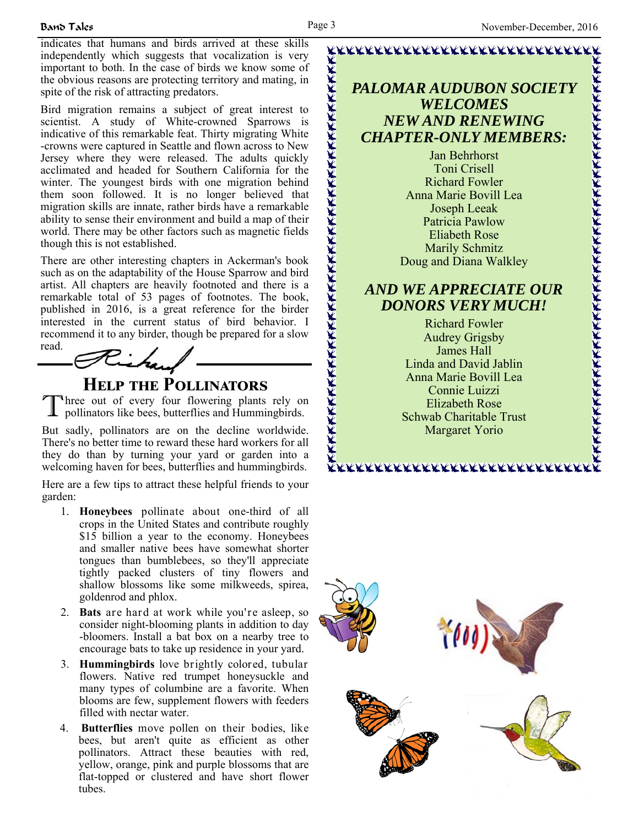indicates that humans and birds arrived at these skills independently which suggests that vocalization is very important to both. In the case of birds we know some of the obvious reasons are protecting territory and mating, in spite of the risk of attracting predators.

Bird migration remains a subject of great interest to scientist. A study of White-crowned Sparrows is indicative of this remarkable feat. Thirty migrating White -crowns were captured in Seattle and flown across to New Jersey where they were released. The adults quickly acclimated and headed for Southern California for the winter. The youngest birds with one migration behind them soon followed. It is no longer believed that migration skills are innate, rather birds have a remarkable ability to sense their environment and build a map of their world. There may be other factors such as magnetic fields though this is not established.

There are other interesting chapters in Ackerman's book such as on the adaptability of the House Sparrow and bird artist. All chapters are heavily footnoted and there is a remarkable total of 53 pages of footnotes. The book, published in 2016, is a great reference for the birder interested in the current status of bird behavior. I recommend it to any birder, though be prepared for a slow



## **HELP THE POLLINATORS**

Three out of every four flowering plants rely on pollinators like bees, butterflies and Hummingbirds.

But sadly, pollinators are on the decline worldwide. There's no better time to reward these hard workers for all they do than by turning your yard or garden into a welcoming haven for bees, butterflies and hummingbirds.

Here are a few tips to attract these helpful friends to your garden:

- 1. **Honeybees** pollinate about one-third of all crops in the United States and contribute roughly \$15 billion a year to the economy. Honeybees and smaller native bees have somewhat shorter tongues than bumblebees, so they'll appreciate tightly packed clusters of tiny flowers and shallow blossoms like some milkweeds, spirea, goldenrod and phlox.
- 2. **Bats** are hard at work while you're asleep, so consider night-blooming plants in addition to day -bloomers. Install a bat box on a nearby tree to encourage bats to take up residence in your yard.
- 3. **Hummingbirds** love brightly colored, tubular flowers. Native red trumpet honeysuckle and many types of columbine are a favorite. When blooms are few, supplement flowers with feeders filled with nectar water.
- 4. **Butterflies** move pollen on their bodies, like bees, but aren't quite as efficient as other pollinators. Attract these beauties with red, yellow, orange, pink and purple blossoms that are flat-topped or clustered and have short flower tubes.

### *PALOMAR AUDUBON SOCIETY WELCOMES NEW AND RENEWING CHAPTER-ONLY MEMBERS:*

Jan Behrhorst Toni Crisell Richard Fowler Anna Marie Bovill Lea Joseph Leeak Patricia Pawlow Eliabeth Rose Marily Schmitz Doug and Diana Walkley

### *AND WE APPRECIATE OUR DONORS VERY MUCH!*

Richard Fowler Audrey Grigsby James Hall Linda and David Jablin Anna Marie Bovill Lea Connie Luizzi Elizabeth Rose Schwab Charitable Trust Margaret Yorio

\*\*\*\*\*\*\*\*\*\*\*\*\*\*\*\*\*\*\*\*\*\*\*\*\*\*\*\*\*\*\*

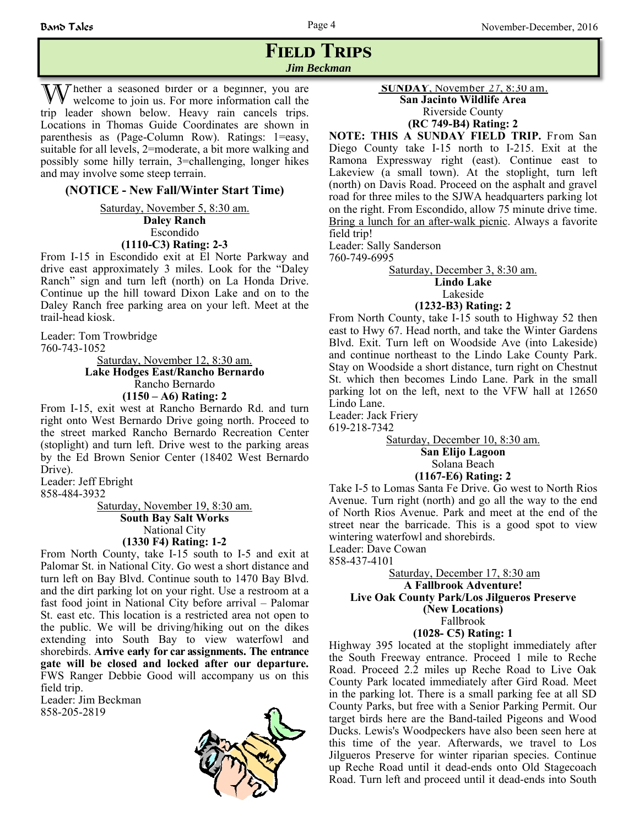### **FIELD TRIPS** *Jim Beckman*

W hether a seasoned birder or a beginner, you are welcome to join us. For more information call the trip leader shown below. Heavy rain cancels trips. Locations in Thomas Guide Coordinates are shown in parenthesis as (Page-Column Row). Ratings: 1=easy, suitable for all levels, 2=moderate, a bit more walking and possibly some hilly terrain, 3=challenging, longer hikes and may involve some steep terrain.

### **(NOTICE - New Fall/Winter Start Time)**

Saturday, November 5, 8:30 am. **Daley Ranch** Escondido **(1110-C3) Rating: 2-3**

From I-15 in Escondido exit at El Norte Parkway and drive east approximately 3 miles. Look for the "Daley Ranch" sign and turn left (north) on La Honda Drive. Continue up the hill toward Dixon Lake and on to the Daley Ranch free parking area on your left. Meet at the trail-head kiosk.

Leader: Tom Trowbridge 760-743-1052

> Saturday, November 12, 8:30 am. **Lake Hodges East/Rancho Bernardo** Rancho Bernardo **(1150 – A6) Rating: 2**

From I-15, exit west at Rancho Bernardo Rd. and turn right onto West Bernardo Drive going north. Proceed to the street marked Rancho Bernardo Recreation Center (stoplight) and turn left. Drive west to the parking areas by the Ed Brown Senior Center (18402 West Bernardo Drive).

Leader: Jeff Ebright 858-484-3932

> Saturday, November 19, 8:30 am. **South Bay Salt Works**  National City **(1330 F4) Rating: 1-2**

From North County, take I-15 south to I-5 and exit at Palomar St. in National City. Go west a short distance and turn left on Bay Blvd. Continue south to 1470 Bay Blvd. and the dirt parking lot on your right. Use a restroom at a fast food joint in National City before arrival – Palomar St. east etc. This location is a restricted area not open to the public. We will be driving/hiking out on the dikes extending into South Bay to view waterfowl and shorebirds. **Arrive early for car assignments. The entrance gate will be closed and locked after our departure.**  FWS Ranger Debbie Good will accompany us on this field trip.

Leader: Jim Beckman 858-205-2819



### **SUNDAY**, November 27, 8:30 am. **San Jacinto Wildlife Area** Riverside County **(RC 749-B4) Rating: 2**

**NOTE: THIS A SUNDAY FIELD TRIP.** From San Diego County take I-15 north to I-215. Exit at the Ramona Expressway right (east). Continue east to Lakeview (a small town). At the stoplight, turn left (north) on Davis Road. Proceed on the asphalt and gravel road for three miles to the SJWA headquarters parking lot on the right. From Escondido, allow 75 minute drive time. Bring a lunch for an after-walk picnic. Always a favorite field trip!

Leader: Sally Sanderson

760-749-6995

Saturday, December 3, 8:30 am.

**Lindo Lake**

### Lakeside

#### **(1232-B3) Rating: 2**

From North County, take I-15 south to Highway 52 then east to Hwy 67. Head north, and take the Winter Gardens Blvd. Exit. Turn left on Woodside Ave (into Lakeside) and continue northeast to the Lindo Lake County Park. Stay on Woodside a short distance, turn right on Chestnut St. which then becomes Lindo Lane. Park in the small parking lot on the left, next to the VFW hall at 12650 Lindo Lane.

Leader: Jack Friery

619-218-7342

Saturday, December 10, 8:30 am. **San Elijo Lagoon** Solana Beach **(1167-E6) Rating: 2**

Take I-5 to Lomas Santa Fe Drive. Go west to North Rios Avenue. Turn right (north) and go all the way to the end of North Rios Avenue. Park and meet at the end of the street near the barricade. This is a good spot to view wintering waterfowl and shorebirds.

Leader: Dave Cowan

858-437-4101

 Saturday, December 17, 8:30 am **A Fallbrook Adventure! Live Oak County Park/Los Jilgueros Preserve (New Locations)** Fallbrook

#### **(1028- C5) Rating: 1**

Highway 395 located at the stoplight immediately after the South Freeway entrance. Proceed 1 mile to Reche Road. Proceed 2.2 miles up Reche Road to Live Oak County Park located immediately after Gird Road. Meet in the parking lot. There is a small parking fee at all SD County Parks, but free with a Senior Parking Permit. Our target birds here are the Band-tailed Pigeons and Wood Ducks. Lewis's Woodpeckers have also been seen here at this time of the year. Afterwards, we travel to Los Jilgueros Preserve for winter riparian species. Continue up Reche Road until it dead-ends onto Old Stagecoach Road. Turn left and proceed until it dead-ends into South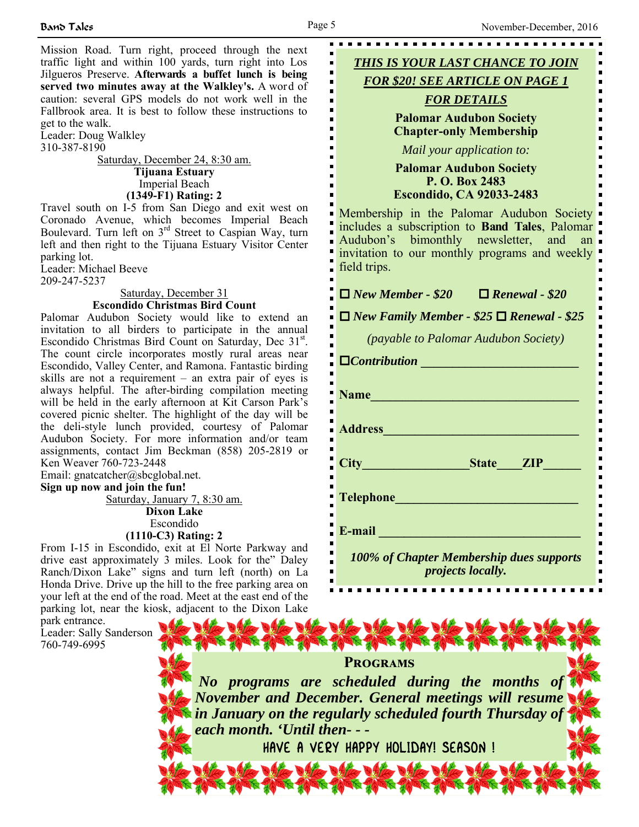Mission Road. Turn right, proceed through the next traffic light and within 100 yards, turn right into Los Jilgueros Preserve. **Afterwards a buffet lunch is being served two minutes away at the Walkley's.** A word of caution: several GPS models do not work well in the Fallbrook area. It is best to follow these instructions to get to the walk.

Leader: Doug Walkley 310-387-8190

Saturday, December 24, 8:30 am. **Tijuana Estuary** Imperial Beach **(1349-F1) Rating: 2**

Travel south on I-5 from San Diego and exit west on Coronado Avenue, which becomes Imperial Beach Boulevard. Turn left on  $3<sup>rd</sup>$  Street to Caspian Way, turn left and then right to the Tijuana Estuary Visitor Center parking lot.

Leader: Michael Beeve 209-247-5237

#### Saturday, December 31 **Escondido Christmas Bird Count**

Palomar Audubon Society would like to extend an invitation to all birders to participate in the annual Escondido Christmas Bird Count on Saturday, Dec  $31<sup>st</sup>$ . The count circle incorporates mostly rural areas near Escondido, Valley Center, and Ramona. Fantastic birding skills are not a requirement – an extra pair of eyes is always helpful. The after-birding compilation meeting will be held in the early afternoon at Kit Carson Park's covered picnic shelter. The highlight of the day will be the deli-style lunch provided, courtesy of Palomar Audubon Society. For more information and/or team assignments, contact Jim Beckman (858) 205-2819 or Ken Weaver 760-723-2448

Email: gnatcatcher@sbcglobal.net.

**Sign up now and join the fun!**

Saturday, January 7, 8:30 am. **Dixon Lake** Escondido

**(1110-C3) Rating: 2**

From I-15 in Escondido, exit at El Norte Parkway and drive east approximately 3 miles. Look for the" Daley Ranch/Dixon Lake" signs and turn left (north) on La Honda Drive. Drive up the hill to the free parking area on your left at the end of the road. Meet at the east end of the parking lot, near the kiosk, adjacent to the Dixon Lake

The other the other off

park entrance. Leader: Sally Sanderson 760-749-6995



# **PROGRAMS** *No programs are scheduled during the months of November and December. General meetings will resume in January on the regularly scheduled fourth Thursday of each month. 'Until then- - -*

LE TURE TU

HAVE A VERY HAPPY HOLIDAY! SEASON !

Nito the the the the the